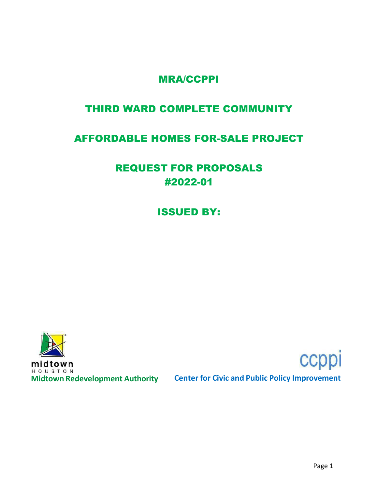## MRA/CCPPI

## THIRD WARD COMPLETE COMMUNITY

## AFFORDABLE HOMES FOR-SALE PROJECT

# REQUEST FOR PROPOSALS #2022-01

ISSUED BY:



midtown HOUSTON

**Midtown Redevelopment Authority Center for Civic and Public Policy Improvement**



ccppi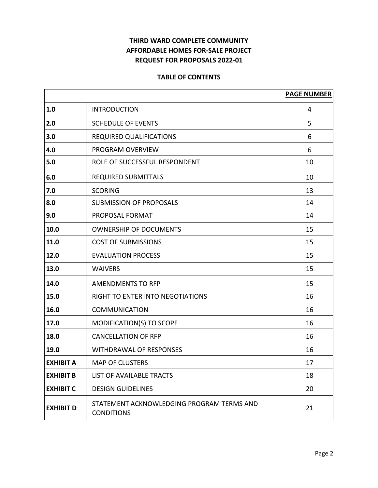### **THIRD WARD COMPLETE COMMUNITY AFFORDABLE HOMES FOR-SALE PROJECT REQUEST FOR PROPOSALS 2022-01**

#### **TABLE OF CONTENTS**

|                  |                                                                | <b>PAGE NUMBER</b> |
|------------------|----------------------------------------------------------------|--------------------|
| 1.0              | <b>INTRODUCTION</b>                                            | 4                  |
| 2.0              | <b>SCHEDULE OF EVENTS</b>                                      | 5                  |
| 3.0              | <b>REQUIRED QUALIFICATIONS</b>                                 | 6                  |
| 4.0              | PROGRAM OVERVIEW                                               | 6                  |
| 5.0              | ROLE OF SUCCESSFUL RESPONDENT                                  | 10                 |
| 6.0              | <b>REQUIRED SUBMITTALS</b>                                     | 10                 |
| 7.0              | <b>SCORING</b>                                                 | 13                 |
| 8.0              | <b>SUBMISSION OF PROPOSALS</b>                                 | 14                 |
| 9.0              | PROPOSAL FORMAT                                                | 14                 |
| 10.0             | <b>OWNERSHIP OF DOCUMENTS</b>                                  | 15                 |
| 11.0             | <b>COST OF SUBMISSIONS</b>                                     | 15                 |
| 12.0             | <b>EVALUATION PROCESS</b>                                      | 15                 |
| 13.0             | <b>WAIVERS</b>                                                 | 15                 |
| 14.0             | <b>AMENDMENTS TO RFP</b>                                       | 15                 |
| 15.0             | RIGHT TO ENTER INTO NEGOTIATIONS                               | 16                 |
| 16.0             | <b>COMMUNICATION</b>                                           | 16                 |
| 17.0             | MODIFICATION(S) TO SCOPE                                       | 16                 |
| 18.0             | <b>CANCELLATION OF RFP</b>                                     | 16                 |
| 19.0             | <b>WITHDRAWAL OF RESPONSES</b>                                 | 16                 |
| <b>EXHIBIT A</b> | <b>MAP OF CLUSTERS</b>                                         | 17                 |
| <b>EXHIBIT B</b> | LIST OF AVAILABLE TRACTS                                       | 18                 |
| <b>EXHIBIT C</b> | <b>DESIGN GUIDELINES</b>                                       | 20                 |
| <b>EXHIBIT D</b> | STATEMENT ACKNOWLEDGING PROGRAM TERMS AND<br><b>CONDITIONS</b> | 21                 |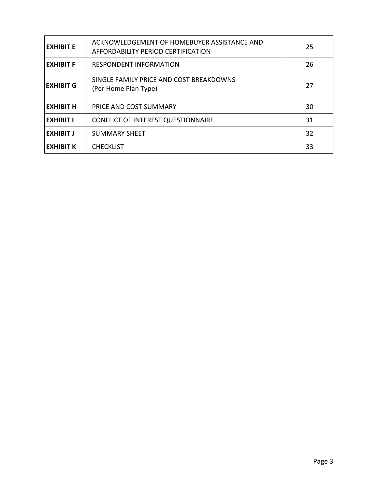| <b>EXHIBIT E</b> | ACKNOWLEDGEMENT OF HOMEBUYER ASSISTANCE AND<br>AFFORDABILITY PERIOD CERTIFICATION | 25 |
|------------------|-----------------------------------------------------------------------------------|----|
| <b>EXHIBIT F</b> | <b>RESPONDENT INFORMATION</b>                                                     | 26 |
| <b>EXHIBIT G</b> | SINGLE FAMILY PRICE AND COST BREAKDOWNS<br>(Per Home Plan Type)                   | 27 |
| <b>EXHIBIT H</b> | PRICE AND COST SUMMARY                                                            | 30 |
| <b>EXHIBIT I</b> | <b>CONFLICT OF INTEREST QUESTIONNAIRE</b>                                         | 31 |
| <b>EXHIBIT J</b> | <b>SUMMARY SHEET</b>                                                              | 32 |
| <b>EXHIBIT K</b> | <b>CHECKLIST</b>                                                                  | 33 |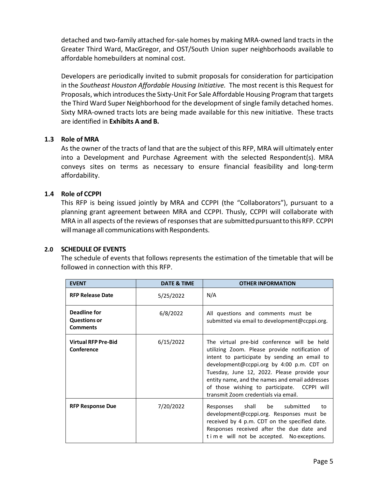detached and two-family attached for-sale homes by making MRA-owned land tracts in the Greater Third Ward, MacGregor, and OST/South Union super neighborhoods available to affordable homebuilders at nominal cost.

Developers are periodically invited to submit proposals for consideration for participation in the *Southeast Houston Affordable Housing Initiative.* The most recent is this Request for Proposals, which introduces the Sixty-Unit For Sale Affordable Housing Program that targets the Third Ward Super Neighborhood for the development of single family detached homes. Sixty MRA-owned tracts lots are being made available for this new initiative. These tracts are identified in **Exhibits A and B.** 

#### **1.3 Role of MRA**

As the owner of the tracts of land that are the subject of this RFP, MRA will ultimately enter into a Development and Purchase Agreement with the selected Respondent(s). MRA conveys sites on terms as necessary to ensure financial feasibility and long-term affordability.

#### **1.4 Role of CCPPI**

This RFP is being issued jointly by MRA and CCPPI (the "Collaborators"), pursuant to a planning grant agreement between MRA and CCPPI. Thusly, CCPPI will collaborate with MRA in all aspects of the reviews of responses that are submitted pursuant to this RFP. CCPPI will manage all communications with Respondents.

#### **2.0 SCHEDULEOF EVENTS**

The schedule of events that follows represents the estimation of the timetable that will be followed in connection with this RFP.

| <b>EVENT</b>                                           | DATE & TIME | <b>OTHER INFORMATION</b>                                                                                                                                                                                                                                                                                                                                                           |
|--------------------------------------------------------|-------------|------------------------------------------------------------------------------------------------------------------------------------------------------------------------------------------------------------------------------------------------------------------------------------------------------------------------------------------------------------------------------------|
| <b>RFP Release Date</b>                                | 5/25/2022   | N/A                                                                                                                                                                                                                                                                                                                                                                                |
| Deadline for<br><b>Questions or</b><br><b>Comments</b> | 6/8/2022    | All questions and comments must be<br>submitted via email to development@ccppi.org.                                                                                                                                                                                                                                                                                                |
| <b>Virtual RFP Pre-Bid</b><br>Conference               | 6/15/2022   | The virtual pre-bid conference will be held<br>utilizing Zoom. Please provide notification of<br>intent to participate by sending an email to<br>development@ccppi.org by 4:00 p.m. CDT on<br>Tuesday, June 12, 2022. Please provide your<br>entity name, and the names and email addresses<br>of those wishing to participate. CCPPI will<br>transmit Zoom credentials via email. |
| <b>RFP Response Due</b>                                | 7/20/2022   | shall be submitted<br>Responses<br>to<br>development@ccppi.org. Responses must be<br>received by 4 p.m. CDT on the specified date.<br>Responses received after the due date and<br>time will not be accepted. No exceptions.                                                                                                                                                       |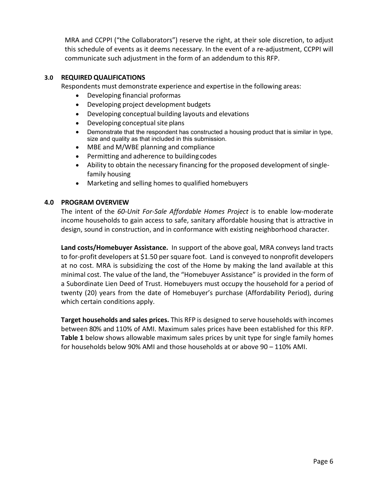MRA and CCPPI ("the Collaborators") reserve the right, at their sole discretion, to adjust this schedule of events as it deems necessary. In the event of a re-adjustment, CCPPI will communicate such adjustment in the form of an addendum to this RFP.

#### **3.0 REQUIREDQUALIFICATIONS**

Respondents must demonstrate experience and expertise in the following areas:

- Developing financial proformas
- Developing project development budgets
- Developing conceptual building layouts and elevations
- Developing conceptual site plans
- Demonstrate that the respondent has constructed a housing product that is similar in type, size and quality as that included in this submission.
- MBE and M/WBE planning and compliance
- Permitting and adherence to buildingcodes
- Ability to obtain the necessary financing for the proposed development of singlefamily housing
- Marketing and selling homes to qualified homebuyers

#### **4.0 PROGRAM OVERVIEW**

The intent of the *60-Unit For-Sale Affordable Homes Project* is to enable low-moderate income households to gain access to safe, sanitary affordable housing that is attractive in design, sound in construction, and in conformance with existing neighborhood character.

**Land costs/Homebuyer Assistance.** In support of the above goal, MRA conveys land tracts to for-profit developers at \$1.50 per square foot. Land is conveyed to nonprofit developers at no cost. MRA is subsidizing the cost of the Home by making the land available at this minimal cost. The value of the land, the "Homebuyer Assistance" is provided in the form of a Subordinate Lien Deed of Trust. Homebuyers must occupy the household for a period of twenty (20) years from the date of Homebuyer's purchase (Affordability Period), during which certain conditions apply.

**Target households and sales prices.** This RFP is designed to serve households with incomes between 80% and 110% of AMI. Maximum sales prices have been established for this RFP. **Table 1** below shows allowable maximum sales prices by unit type for single family homes for households below 90% AMI and those households at or above 90 – 110% AMI.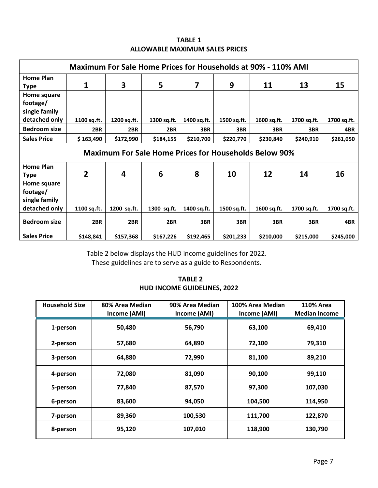| <b>TABLE 1</b>                 |  |
|--------------------------------|--|
| ALLOWABLE MAXIMUM SALES PRICES |  |

| <b>Maximum For Sale Home Prices for Households at 90% - 110% AMI</b> |                                                              |             |             |             |             |             |             |             |
|----------------------------------------------------------------------|--------------------------------------------------------------|-------------|-------------|-------------|-------------|-------------|-------------|-------------|
| Home Plan<br><b>Type</b>                                             | 1                                                            | 3           | 5           | 7           | 9           | 11          | 13          | 15          |
| Home square<br>footage/<br>single family                             |                                                              |             |             |             |             |             |             |             |
| detached only                                                        | 1100 sq.ft.                                                  | 1200 sq.ft. | 1300 sq.ft. | 1400 sq.ft. | 1500 sq.ft. | 1600 sq.ft. | 1700 sq.ft. | 1700 sq.ft. |
| <b>Bedroom size</b>                                                  | 2BR                                                          | 2BR         | 2BR         | 3BR         | 3BR         | 3BR         | 3BR         | 4BR         |
| <b>Sales Price</b>                                                   | \$163,490                                                    | \$172,990   | \$184,155   | \$210,700   | \$220,770   | \$230,840   | \$240,910   | \$261,050   |
|                                                                      | <b>Maximum For Sale Home Prices for Households Below 90%</b> |             |             |             |             |             |             |             |
| <b>Home Plan</b><br><b>Type</b>                                      | $\overline{2}$                                               | 4           | 6           | 8           | 10          | 12          | 14          | 16          |
| Home square<br>footage/<br>single family                             |                                                              |             |             |             |             |             |             |             |
| detached only                                                        | 1100 sq.ft.                                                  | 1200 sq.ft. | 1300 sq.ft. | 1400 sq.ft. | 1500 sq.ft. | 1600 sq.ft. | 1700 sq.ft. | 1700 sq.ft. |
| <b>Bedroom size</b>                                                  | 2BR                                                          | 2BR         | 2BR         | 3BR         | 3BR         | 3BR         | 3BR         | 4BR         |
|                                                                      |                                                              |             |             |             |             |             |             |             |

Table 2 below displays the HUD income guidelines for 2022. These guidelines are to serve as a guide to Respondents.

| <b>TABLE 2</b>                     |  |
|------------------------------------|--|
| <b>HUD INCOME GUIDELINES, 2022</b> |  |

| <b>Household Size</b> | 80% Area Median<br>Income (AMI) | 90% Area Median<br>Income (AMI) | 100% Area Median<br>Income (AMI) | <b>110% Area</b><br><b>Median Income</b> |
|-----------------------|---------------------------------|---------------------------------|----------------------------------|------------------------------------------|
| 1-person              | 50,480                          | 56,790                          | 63,100                           | 69,410                                   |
| 2-person              | 57,680                          | 64,890                          | 72,100                           | 79,310                                   |
| 3-person              | 64,880                          | 72,990                          | 81,100                           | 89,210                                   |
| 4-person              | 72,080                          | 81,090                          | 90,100                           | 99,110                                   |
| 5-person              | 77,840                          | 87,570                          | 97,300                           | 107,030                                  |
| 6-person              | 83,600                          | 94,050                          | 104,500                          | 114,950                                  |
| 7-person              | 89,360                          | 100,530                         | 111,700                          | 122,870                                  |
| 8-person              | 95,120                          | 107,010                         | 118,900                          | 130,790                                  |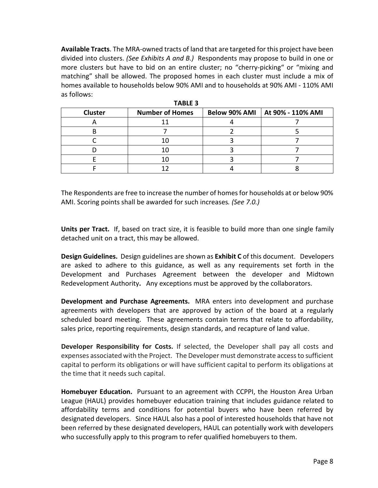**Available Tracts**. The MRA-owned tracts of land that are targeted for this project have been divided into clusters. *(See Exhibits A and B.)* Respondents may propose to build in one or more clusters but have to bid on an entire cluster; no "cherry-picking" or "mixing and matching" shall be allowed. The proposed homes in each cluster must include a mix of homes available to households below 90% AMI and to households at 90% AMI - 110% AMI as follows:

|                | .                      |  |                                   |  |  |  |
|----------------|------------------------|--|-----------------------------------|--|--|--|
| <b>Cluster</b> | <b>Number of Homes</b> |  | Below 90% AMI   At 90% - 110% AMI |  |  |  |
|                |                        |  |                                   |  |  |  |
|                |                        |  |                                   |  |  |  |
|                |                        |  |                                   |  |  |  |
|                |                        |  |                                   |  |  |  |
|                |                        |  |                                   |  |  |  |
|                |                        |  |                                   |  |  |  |

The Respondents are free to increase the number of homes for households at or below 90% AMI. Scoring points shall be awarded for such increases*. (See 7.0.)* 

**Units per Tract.** If, based on tract size, it is feasible to build more than one single family detached unit on a tract, this may be allowed.

**Design Guidelines.** Design guidelines are shown as **Exhibit C** of this document. Developers are asked to adhere to this guidance, as well as any requirements set forth in the Development and Purchases Agreement between the developer and Midtown Redevelopment Authority**.** Any exceptions must be approved by the collaborators.

**Development and Purchase Agreements.** MRA enters into development and purchase agreements with developers that are approved by action of the board at a regularly scheduled board meeting. These agreements contain terms that relate to affordability, sales price, reporting requirements, design standards, and recapture of land value.

**Developer Responsibility for Costs.** If selected, the Developer shall pay all costs and expenses associated with the Project. The Developer must demonstrate access to sufficient capital to perform its obligations or will have sufficient capital to perform its obligations at the time that it needs such capital.

**Homebuyer Education.** Pursuant to an agreement with CCPPI, the Houston Area Urban League (HAUL) provides homebuyer education training that includes guidance related to affordability terms and conditions for potential buyers who have been referred by designated developers. Since HAUL also has a pool of interested households that have not been referred by these designated developers, HAUL can potentially work with developers who successfully apply to this program to refer qualified homebuyers to them.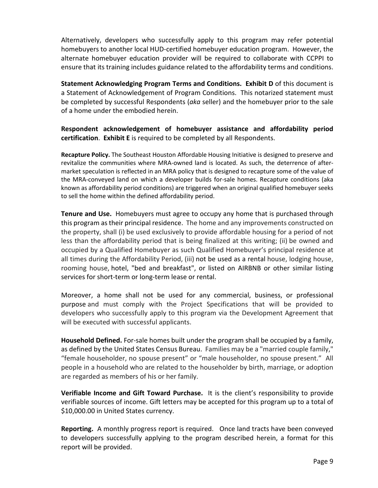Alternatively, developers who successfully apply to this program may refer potential homebuyers to another local HUD-certified homebuyer education program. However, the alternate homebuyer education provider will be required to collaborate with CCPPI to ensure that its training includes guidance related to the affordability terms and conditions.

**Statement Acknowledging Program Terms and Conditions. Exhibit D** of this document is a Statement of Acknowledgement of Program Conditions. This notarized statement must be completed by successful Respondents (*aka* seller) and the homebuyer prior to the sale of a home under the embodied herein.

**Respondent acknowledgement of homebuyer assistance and affordability period certification**. **Exhibit E** is required to be completed by all Respondents.

**Recapture Policy.** The Southeast Houston Affordable Housing Initiative is designed to preserve and revitalize the communities where MRA-owned land is located. As such, the deterrence of aftermarket speculation is reflected in an MRA policy that is designed to recapture some of the value of the MRA-conveyed land on which a developer builds for-sale homes. Recapture conditions (aka known as affordability period conditions) are triggered when an original qualified homebuyer seeks to sell the home within the defined affordability period.

**Tenure and Use.** Homebuyers must agree to occupy any home that is purchased through this program as their principal residence. The home and any improvements constructed on the property, shall (i) be used exclusively to provide affordable housing for a period of not less than the affordability period that is being finalized at this writing; (ii) be owned and occupied by a Qualified Homebuyer as such Qualified Homebuyer's principal residence at all times during the Affordability Period, (iii) not be used as a rental house, lodging house, rooming house, hotel, "bed and breakfast", or listed on AIRBNB or other similar listing services for short-term or long-term lease or rental.

Moreover, a home shall not be used for any commercial, business, or professional purpose and must comply with the Project Specifications that will be provided to developers who successfully apply to this program via the Development Agreement that will be executed with successful applicants.

**Household Defined.** For-sale homes built under the program shall be occupied by a family, as defined by the United States Census Bureau. Families may be a "married couple family," "female householder, no spouse present" or "male householder, no spouse present." All people in a household who are related to the householder by birth, marriage, or adoption are regarded as members of his or her family.

**Verifiable Income and Gift Toward Purchase.** It is the client's responsibility to provide verifiable sources of income. Gift letters may be accepted for this program up to a total of \$10,000.00 in United States currency.

**Reporting.** A monthly progress report is required. Once land tracts have been conveyed to developers successfully applying to the program described herein, a format for this report will be provided.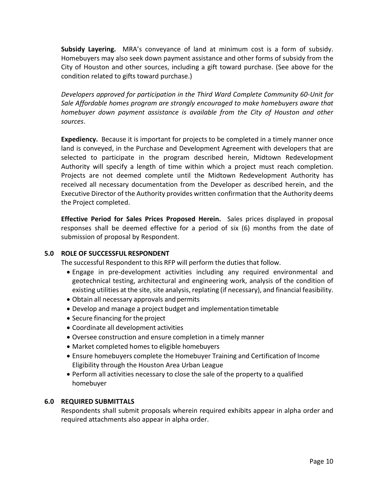**Subsidy Layering.** MRA's conveyance of land at minimum cost is a form of subsidy. Homebuyers may also seek down payment assistance and other forms of subsidy from the City of Houston and other sources, including a gift toward purchase. (See above for the condition related to gifts toward purchase.)

*Developers approved for participation in the Third Ward Complete Community 60-Unit for Sale Affordable homes program are strongly encouraged to make homebuyers aware that homebuyer down payment assistance is available from the City of Houston and other sources*.

**Expediency.** Because it is important for projects to be completed in a timely manner once land is conveyed, in the Purchase and Development Agreement with developers that are selected to participate in the program described herein, Midtown Redevelopment Authority will specify a length of time within which a project must reach completion. Projects are not deemed complete until the Midtown Redevelopment Authority has received all necessary documentation from the Developer as described herein, and the Executive Director of the Authority provides written confirmation that the Authority deems the Project completed.

**Effective Period for Sales Prices Proposed Herein.** Sales prices displayed in proposal responses shall be deemed effective for a period of six (6) months from the date of submission of proposal by Respondent.

#### **5.0 ROLE OF SUCCESSFUL RESPONDENT**

The successful Respondent to this RFP will perform the duties that follow.

- Engage in pre-development activities including any required environmental and geotechnical testing, architectural and engineering work, analysis of the condition of existing utilities at the site, site analysis, replating (if necessary), and financial feasibility.
- Obtain all necessary approvals and permits
- Develop and manage a project budget and implementation timetable
- Secure financing for the project
- Coordinate all development activities
- Oversee construction and ensure completion in a timely manner
- Market completed homes to eligible homebuyers
- Ensure homebuyers complete the Homebuyer Training and Certification of Income Eligibility through the Houston Area Urban League
- Perform all activities necessary to close the sale of the property to a qualified homebuyer

#### **6.0 REQUIRED SUBMITTALS**

Respondents shall submit proposals wherein required exhibits appear in alpha order and required attachments also appear in alpha order.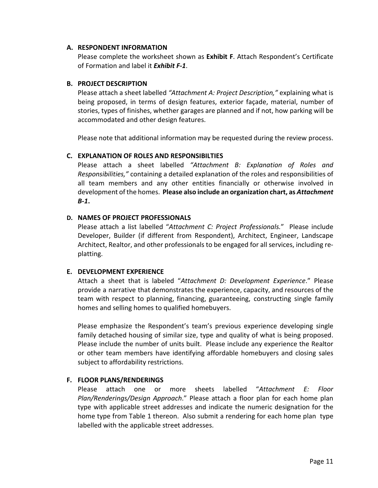#### **A. RESPONDENT INFORMATION**

Please complete the worksheet shown as **Exhibit F**. Attach Respondent's Certificate of Formation and label it *Exhibit F-1*.

#### **B. PROJECT DESCRIPTION**

Please attach a sheet labelled *"Attachment A: Project Description,"* explaining what is being proposed, in terms of design features, exterior façade, material, number of stories, types of finishes, whether garages are planned and if not, how parking will be accommodated and other design features.

Please note that additional information may be requested during the review process.

#### **C. EXPLANATION OF ROLES AND RESPONSIBILTIES**

Please attach a sheet labelled *"Attachment B: Explanation of Roles and Responsibilities,"* containing a detailed explanation of the roles and responsibilities of all team members and any other entities financially or otherwise involved in development of the homes. **Please also include an organization chart, as** *Attachment B-1***.**

#### **D. NAMES OF PROJECT PROFESSIONALS**

Please attach a list labelled "*Attachment C: Project Professionals.*" Please include Developer, Builder (if different from Respondent), Architect, Engineer, Landscape Architect, Realtor, and other professionals to be engaged for all services, including replatting.

#### **E. DEVELOPMENT EXPERIENCE**

Attach a sheet that is labeled "*Attachment D: Development Experience*." Please provide a narrative that demonstrates the experience, capacity, and resources of the team with respect to planning, financing, guaranteeing, constructing single family homes and selling homes to qualified homebuyers.

Please emphasize the Respondent's team's previous experience developing single family detached housing of similar size, type and quality of what is being proposed. Please include the number of units built. Please include any experience the Realtor or other team members have identifying affordable homebuyers and closing sales subject to affordability restrictions.

#### **F. FLOOR PLANS/RENDERINGS**

Please attach one or more sheets labelled "*Attachment E: Floor Plan/Renderings/Design Approach*." Please attach a floor plan for each home plan type with applicable street addresses and indicate the numeric designation for the home type from Table 1 thereon. Also submit a rendering for each home plan type labelled with the applicable street addresses.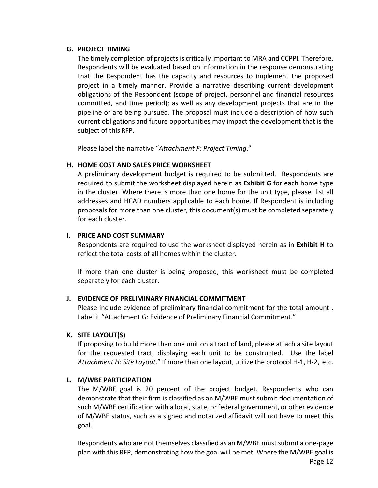#### **G. PROJECT TIMING**

The timely completion of projects is critically important to MRA and CCPPI. Therefore, Respondents will be evaluated based on information in the response demonstrating that the Respondent has the capacity and resources to implement the proposed project in a timely manner. Provide a narrative describing current development obligations of the Respondent (scope of project, personnel and financial resources committed, and time period); as well as any development projects that are in the pipeline or are being pursued. The proposal must include a description of how such current obligations and future opportunities may impact the development that is the subject of this RFP.

Please label the narrative "*Attachment F: Project Timing*."

#### **H. HOME COST AND SALES PRICE WORKSHEET**

A preliminary development budget is required to be submitted. Respondents are required to submit the worksheet displayed herein as **Exhibit G** for each home type in the cluster. Where there is more than one home for the unit type, please list all addresses and HCAD numbers applicable to each home. If Respondent is including proposals for more than one cluster, this document(s) must be completed separately for each cluster.

#### **I. PRICE AND COST SUMMARY**

Respondents are required to use the worksheet displayed herein as in **Exhibit H** to reflect the total costs of all homes within the cluster**.** 

If more than one cluster is being proposed, this worksheet must be completed separately for each cluster.

#### **J. EVIDENCE OF PRELIMINARY FINANCIAL COMMITMENT**

Please include evidence of preliminary financial commitment for the total amount . Label it "Attachment G: Evidence of Preliminary Financial Commitment."

#### **K. SITE LAYOUT(S)**

If proposing to build more than one unit on a tract of land, please attach a site layout for the requested tract, displaying each unit to be constructed. Use the label *Attachment H: Site Layout*." If more than one layout, utilize the protocol H-1, H-2, etc.

#### **L. M/WBE PARTICIPATION**

The M/WBE goal is 20 percent of the project budget. Respondents who can demonstrate that their firm is classified as an M/WBE must submit documentation of such M/WBE certification with a local, state, or federal government, or other evidence of M/WBE status, such as a signed and notarized affidavit will not have to meet this goal.

Respondents who are not themselves classified as an M/WBE must submit a one-page plan with this RFP, demonstrating how the goal will be met. Where the M/WBE goal is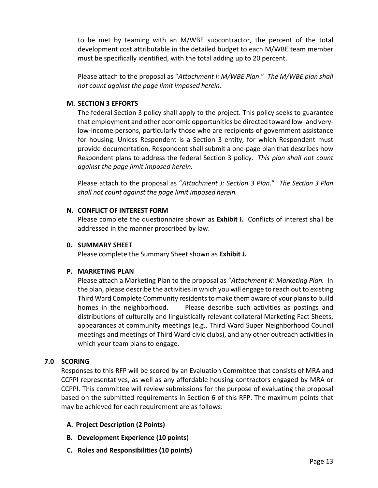to be met by teaming with an M/WBE subcontractor, the percent of the total development cost attributable in the detailed budget to each M/WBE team member must be specifically identified, with the total adding up to 20 percent.

Please attach to the proposal as "*Attachment I: M/WBE Plan*." *The M/WBE plan shall not count against the page limit imposed herein.*

#### **M. SECTION 3 EFFORTS**

The federal Section 3 policy shall apply to the project. This policy seeks to guarantee that employment and other economic opportunities be directed toward low- and verylow-income persons, particularly those who are recipients of government assistance for housing. Unless Respondent is a Section 3 entity, for which Respondent must provide documentation, Respondent shall submit a one-page plan that describes how Respondent plans to address the federal Section 3 policy. *This plan shall not count against the page limit imposed herein.*

Please attach to the proposal as "*Attachment J: Section 3 Plan*." *The Section 3 Plan shall not count against the page limit imposed herein.*

#### **N. CONFLICT OF INTEREST FORM**

Please complete the questionnaire shown as **Exhibit I.** Conflicts of interest shall be addressed in the manner proscribed by law.

#### **0. SUMMARY SHEET**

Please complete the Summary Sheet shown as **Exhibit J.**

#### **P. MARKETING PLAN**

Please attach a Marketing Plan to the proposal as "*Attachment K: Marketing Plan.* In the plan, please describe the activities in which you will engage to reach out to existing Third Ward Complete Community residents to make them aware of your plans to build homes in the neighborhood. Please describe such activities as postings and distributions of culturally and linguistically relevant collateral Marketing Fact Sheets, appearances at community meetings (e.g., Third Ward Super Neighborhood Council meetings and meetings of Third Ward civic clubs), and any other outreach activities in which your team plans to engage.

#### **7.0 SCORING**

Responses to this RFP will be scored by an Evaluation Committee that consists of MRA and CCPPI representatives, as well as any affordable housing contractors engaged by MRA or CCPPI. This committee will review submissions for the purpose of evaluating the proposal based on the submitted requirements in Section 6 of this RFP. The maximum points that may be achieved for each requirement are as follows:

#### **A. Project Description (2 Points)**

- **B. Development Experience (10 points**)
- **C. Roles and Responsibilities (10 points)**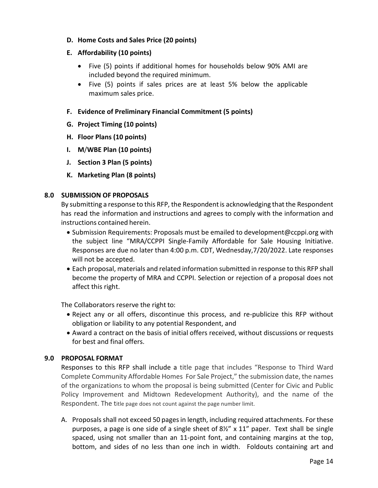#### **D. Home Costs and Sales Price (20 points)**

#### **E. Affordability (10 points)**

- Five (5) points if additional homes for households below 90% AMI are included beyond the required minimum.
- Five (5) points if sales prices are at least 5% below the applicable maximum sales price.

#### **F. Evidence of Preliminary Financial Commitment (5 points)**

- **G. Project Timing (10 points)**
- **H. Floor Plans (10 points)**
- **I. M**/**WBE Plan (10 points)**
- **J. Section 3 Plan (5 points)**
- **K. Marketing Plan (8 points)**

#### **8.0 SUBMISSION OF PROPOSALS**

By submitting a response to this RFP, the Respondent is acknowledging that the Respondent has read the information and instructions and agrees to comply with the information and instructions contained herein.

- Submission Requirements: Proposals must be emailed t[o development@ccppi.org](mailto:info@ccppi.org) with the subject line "MRA/CCPPI Single-Family Affordable for Sale Housing Initiative. Responses are due no later than 4:00 p.m. CDT, Wednesday,7/20/2022. Late responses will not be accepted.
- Each proposal, materials and related information submitted in response to this RFP shall become the property of MRA and CCPPI. Selection or rejection of a proposal does not affect this right.

The Collaborators reserve the right to:

- Reject any or all offers, discontinue this process, and re-publicize this RFP without obligation or liability to any potential Respondent, and
- Award a contract on the basis of initial offers received, without discussions or requests for best and final offers.

#### **9.0 PROPOSAL FORMAT**

Responses to this RFP shall include a title page that includes "Response to Third Ward Complete Community Affordable Homes For Sale Project," the submission date, the names of the organizations to whom the proposal is being submitted (Center for Civic and Public Policy Improvement and Midtown Redevelopment Authority), and the name of the Respondent. The title page does not count against the page number limit.

A. Proposals shall not exceed 50 pages in length, including required attachments. For these purposes, a page is one side of a single sheet of  $8\frac{1}{2}$  x 11" paper. Text shall be single spaced, using not smaller than an 11-point font, and containing margins at the top, bottom, and sides of no less than one inch in width. Foldouts containing art and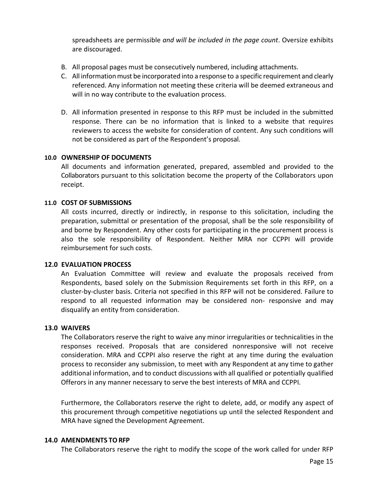spreadsheets are permissible *and will be included in the page count*. Oversize exhibits are discouraged.

- B. All proposal pages must be consecutively numbered, including attachments.
- C. All informationmust be incorporated into a response to a specific requirement and clearly referenced. Any information not meeting these criteria will be deemed extraneous and will in no way contribute to the evaluation process.
- D. All information presented in response to this RFP must be included in the submitted response. There can be no information that is linked to a website that requires reviewers to access the website for consideration of content. Any such conditions will not be considered as part of the Respondent's proposal.

#### **10.0 OWNERSHIP OF DOCUMENTS**

All documents and information generated, prepared, assembled and provided to the Collaborators pursuant to this solicitation become the property of the Collaborators upon receipt.

#### **11.0 COST OF SUBMISSIONS**

All costs incurred, directly or indirectly, in response to this solicitation, including the preparation, submittal or presentation of the proposal, shall be the sole responsibility of and borne by Respondent. Any other costs for participating in the procurement process is also the sole responsibility of Respondent. Neither MRA nor CCPPI will provide reimbursement for such costs.

#### **12.0 EVALUATION PROCESS**

An Evaluation Committee will review and evaluate the proposals received from Respondents, based solely on the Submission Requirements set forth in this RFP, on a cluster-by-cluster basis. Criteria not specified in this RFP will not be considered. Failure to respond to all requested information may be considered non- responsive and may disqualify an entity from consideration.

#### **13.0 WAIVERS**

The Collaborators reserve the right to waive any minor irregularities or technicalities in the responses received. Proposals that are considered nonresponsive will not receive consideration. MRA and CCPPI also reserve the right at any time during the evaluation process to reconsider any submission, to meet with any Respondent at any time to gather additional information, and to conduct discussions with all qualified or potentially qualified Offerors in any manner necessary to serve the best interests of MRA and CCPPI.

Furthermore, the Collaborators reserve the right to delete, add, or modify any aspect of this procurement through competitive negotiations up until the selected Respondent and MRA have signed the Development Agreement.

#### **14.0 AMENDMENTS TORFP**

The Collaborators reserve the right to modify the scope of the work called for under RFP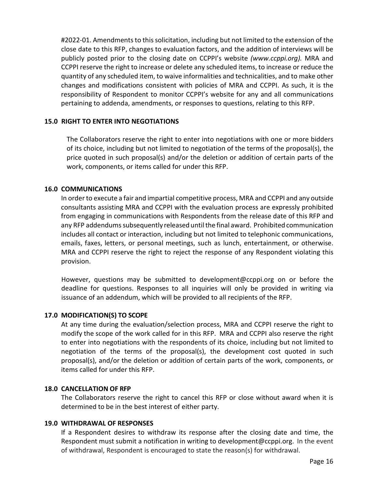#2022-01. Amendments to this solicitation, including but not limited to the extension of the close date to this RFP, changes to evaluation factors, and the addition of interviews will be publicly posted prior to the closing date on CCPPI's website *(www.ccppi.org).* MRA and CCPPI reserve the right to increase or delete any scheduled items, to increase or reduce the quantity of any scheduled item, to waive informalities and technicalities, and to make other changes and modifications consistent with policies of MRA and CCPPI. As such, it is the responsibility of Respondent to monitor CCPPI's website for any and all communications pertaining to addenda, amendments, or responses to questions, relating to this RFP.

#### **15.0 RIGHT TO ENTER INTO NEGOTIATIONS**

The Collaborators reserve the right to enter into negotiations with one or more bidders of its choice, including but not limited to negotiation of the terms of the proposal(s), the price quoted in such proposal(s) and/or the deletion or addition of certain parts of the work, components, or items called for under this RFP.

#### **16.0 COMMUNICATIONS**

In order to execute a fair and impartial competitive process, MRA and CCPPI and any outside consultants assisting MRA and CCPPI with the evaluation process are expressly prohibited from engaging in communications with Respondents from the release date of this RFP and any RFP addendums subsequently released until the final award. Prohibited communication includes all contact or interaction, including but not limited to telephonic communications, emails, faxes, letters, or personal meetings, such as lunch, entertainment, or otherwise. MRA and CCPPI reserve the right to reject the response of any Respondent violating this provision.

However, questions may be submitted to [development@ccppi.org](mailto:info@ccppi.org) on or before the deadline for questions. Responses to all inquiries will only be provided in writing via issuance of an addendum, which will be provided to all recipients of the RFP.

#### **17.0 MODIFICATION(S) TO SCOPE**

At any time during the evaluation/selection process, MRA and CCPPI reserve the right to modify the scope of the work called for in this RFP. MRA and CCPPI also reserve the right to enter into negotiations with the respondents of its choice, including but not limited to negotiation of the terms of the proposal(s), the development cost quoted in such proposal(s), and/or the deletion or addition of certain parts of the work, components, or items called for under this RFP.

#### **18.0 CANCELLATION OF RFP**

The Collaborators reserve the right to cancel this RFP or close without award when it is determined to be in the best interest of either party.

#### **19.0 WITHDRAWAL OF RESPONSES**

If a Respondent desires to withdraw its response after the closing date and time, the Respondent must submit a notification in writing to [development@ccppi.org.](mailto:info@ccppi.org) In the event of withdrawal, Respondent is encouraged to state the reason(s) for withdrawal.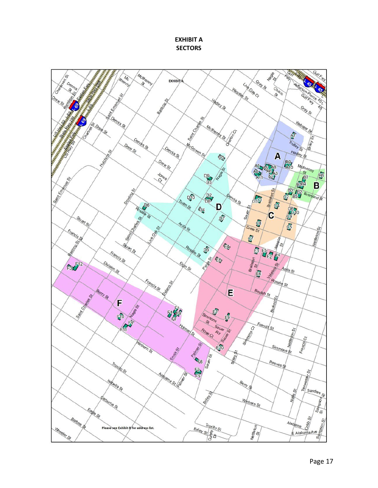**EXHIBIT A SECTORS**

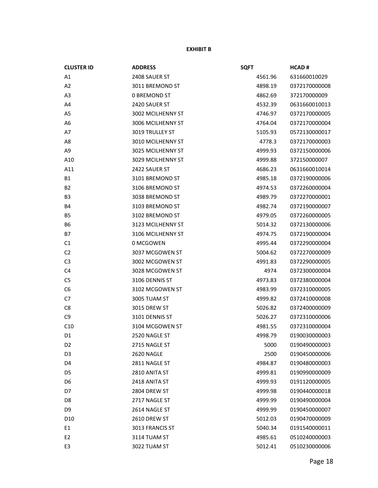#### **EXHIBIT B**

| <b>CLUSTER ID</b> | <b>ADDRESS</b>         | <b>SQFT</b> | <b>HCAD#</b>  |
|-------------------|------------------------|-------------|---------------|
| A1                | 2408 SAUER ST          | 4561.96     | 631660010029  |
| A2                | 3011 BREMOND ST        | 4898.19     | 0372170000008 |
| A <sub>3</sub>    | <b>0 BREMOND ST</b>    | 4862.69     | 372170000009  |
| A4                | 2420 SAUER ST          | 4532.39     | 0631660010013 |
| A <sub>5</sub>    | 3002 MCILHENNY ST      | 4746.97     | 0372170000005 |
| A <sub>6</sub>    | 3006 MCILHENNY ST      | 4764.04     | 0372170000004 |
| A7                | <b>3019 TRULLEY ST</b> | 5105.93     | 0572130000017 |
| A8                | 3010 MCILHENNY ST      | 4778.3      | 0372170000003 |
| A <sub>9</sub>    | 3025 MCILHENNY ST      | 4999.93     | 0372150000006 |
| A10               | 3029 MCILHENNY ST      | 4999.88     | 372150000007  |
| A11               | 2422 SAUER ST          | 4686.23     | 0631660010014 |
| <b>B1</b>         | 3101 BREMOND ST        | 4985.18     | 0372190000006 |
| B <sub>2</sub>    | 3106 BREMOND ST        | 4974.53     | 0372260000004 |
| B <sub>3</sub>    | 3038 BREMOND ST        | 4989.79     | 0372270000001 |
| <b>B4</b>         | 3103 BREMOND ST        | 4982.74     | 0372190000007 |
| <b>B5</b>         | 3102 BREMOND ST        | 4979.05     | 0372260000005 |
| B <sub>6</sub>    | 3123 MCILHENNY ST      | 5014.32     | 0372130000006 |
| <b>B7</b>         | 3106 MCILHENNY ST      | 4974.75     | 0372190000004 |
| C <sub>1</sub>    | 0 MCGOWEN              | 4995.44     | 0372290000004 |
| C <sub>2</sub>    | 3037 MCGOWEN ST        | 5004.62     | 0372270000009 |
| C <sub>3</sub>    | 3002 MCGOWEN ST        | 4991.83     | 0372290000005 |
| C <sub>4</sub>    | 3028 MCGOWEN ST        | 4974        | 0372300000004 |
| C <sub>5</sub>    | 3106 DENNIS ST         | 4973.83     | 0372380000004 |
| C <sub>6</sub>    | 3102 MCGOWEN ST        | 4983.99     | 0372310000005 |
| C7                | 3005 TUAM ST           | 4999.82     | 0372410000008 |
| C8                | 3015 DREW ST           | 5026.82     | 0372400000009 |
| C <sub>9</sub>    | 3101 DENNIS ST         | 5026.27     | 0372310000006 |
| C10               | 3104 MCGOWEN ST        | 4981.55     | 0372310000004 |
| D <sub>1</sub>    | 2520 NAGLE ST          | 4998.79     | 0190030000003 |
| D <sub>2</sub>    | 2715 NAGLE ST          | 5000        | 0190490000003 |
| D <sub>3</sub>    | 2620 NAGLE             | 2500        | 0190450000006 |
| D <sub>4</sub>    | 2811 NAGLE ST          | 4984.87     | 0190480000003 |
| D <sub>5</sub>    | 2810 ANITA ST          | 4999.81     | 0190990000009 |
| D <sub>6</sub>    | 2418 ANITA ST          | 4999.93     | 0191120000005 |
| D7                | 2804 DREW ST           | 4999.98     | 0190440000018 |
| D <sub>8</sub>    | 2717 NAGLE ST          | 4999.99     | 0190490000004 |
| D9                | 2614 NAGLE ST          | 4999.99     | 0190450000007 |
| D <sub>10</sub>   | 2610 DREW ST           | 5012.03     | 0190470000009 |
| E1                | 3013 FRANCIS ST        | 5040.34     | 0191540000011 |
| E <sub>2</sub>    | 3114 TUAM ST           | 4985.61     | 0510240000003 |
| E <sub>3</sub>    | 3022 TUAM ST           | 5012.41     | 0510230000006 |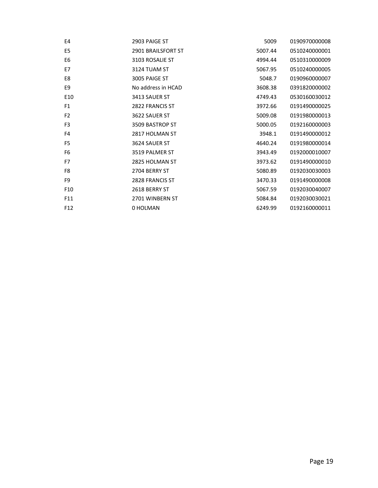| E4              | 2903 PAIGE ST      | 5009    | 0190970000008 |
|-----------------|--------------------|---------|---------------|
| E <sub>5</sub>  | 2901 BRAILSFORT ST | 5007.44 | 0510240000001 |
| E <sub>6</sub>  | 3103 ROSALIE ST    | 4994.44 | 0510310000009 |
| E7              | 3124 TUAM ST       | 5067.95 | 0510240000005 |
| E8              | 3005 PAIGE ST      | 5048.7  | 0190960000007 |
| E9              | No address in HCAD | 3608.38 | 0391820000002 |
| E10             | 3413 SAUER ST      | 4749.43 | 0530160030012 |
| F <sub>1</sub>  | 2822 FRANCIS ST    | 3972.66 | 0191490000025 |
| F <sub>2</sub>  | 3622 SAUER ST      | 5009.08 | 0191980000013 |
| F <sub>3</sub>  | 3509 BASTROP ST    | 5000.05 | 0192160000003 |
| F <sub>4</sub>  | 2817 HOLMAN ST     | 3948.1  | 0191490000012 |
| F <sub>5</sub>  | 3624 SAUER ST      | 4640.24 | 0191980000014 |
| F <sub>6</sub>  | 3519 PALMER ST     | 3943.49 | 0192000010007 |
| F7              | 2825 HOLMAN ST     | 3973.62 | 0191490000010 |
| F8              | 2704 BERRY ST      | 5080.89 | 0192030030003 |
| F9              | 2828 FRANCIS ST    | 3470.33 | 0191490000008 |
| F <sub>10</sub> | 2618 BERRY ST      | 5067.59 | 0192030040007 |
| F11             | 2701 WINBERN ST    | 5084.84 | 0192030030021 |
| F <sub>12</sub> | 0 HOLMAN           | 6249.99 | 0192160000011 |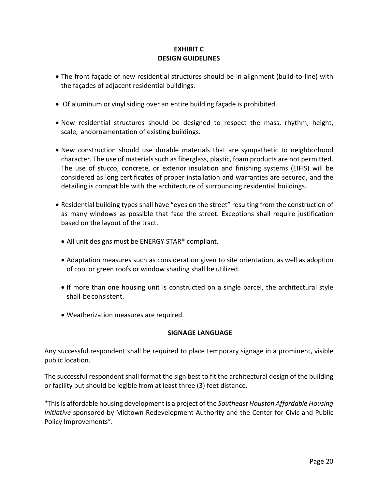#### **EXHIBIT C DESIGN GUIDELINES**

- The front façade of new residential structures should be in alignment (build-to-line) with the façades of adjacent residential buildings.
- Of aluminum or vinyl siding over an entire building façade is prohibited.
- New residential structures should be designed to respect the mass, rhythm, height, scale, andornamentation of existing buildings.
- New construction should use durable materials that are sympathetic to neighborhood character. The use of materials such as fiberglass, plastic, foam products are not permitted. The use of stucco, concrete, or exterior insulation and finishing systems (EIFIS) will be considered as long certificates of proper installation and warranties are secured, and the detailing is compatible with the architecture of surrounding residential buildings.
- Residential building types shall have "eyes on the street" resulting from the construction of as many windows as possible that face the street. Exceptions shall require justification based on the layout of the tract.
	- All unit designs must be ENERGY STAR® compliant.
	- Adaptation measures such as consideration given to site orientation, as well as adoption of cool or green roofs or window shading shall be utilized.
	- If more than one housing unit is constructed on a single parcel, the architectural style shall be consistent.
	- Weatherization measures are required.

#### **SIGNAGE LANGUAGE**

Any successful respondent shall be required to place temporary signage in a prominent, visible public location.

The successful respondent shall format the sign best to fit the architectural design of the building or facility but should be legible from at least three (3) feet distance.

"This is affordable housing development is a project of the *Southeast Houston Affordable Housing Initiative* sponsored by Midtown Redevelopment Authority and the Center for Civic and Public Policy Improvements".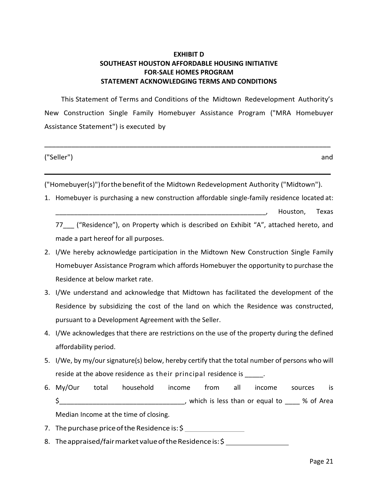#### **EXHIBIT D SOUTHEAST HOUSTON AFFORDABLE HOUSING INITIATIVE FOR-SALE HOMES PROGRAM STATEMENT ACKNOWLEDGING TERMS AND CONDITIONS**

This Statement of Terms and Conditions of the Midtown Redevelopment Authority's New Construction Single Family Homebuyer Assistance Program ("MRA Homebuyer Assistance Statement") is executed by

**\_\_\_\_\_\_\_\_\_\_\_\_\_\_\_\_\_\_\_\_\_\_\_\_\_\_\_\_\_\_\_\_\_\_\_\_\_\_\_\_\_\_\_\_\_\_\_\_\_\_\_\_\_\_\_\_\_\_\_\_\_\_\_\_\_\_\_\_\_\_\_\_\_\_**

**\_\_\_\_\_\_\_\_\_\_\_\_\_\_\_\_\_\_\_\_\_\_\_\_\_\_\_\_\_\_\_\_\_\_\_\_\_\_\_\_\_\_\_\_\_\_\_\_\_\_\_\_\_\_\_\_\_\_\_\_\_\_\_\_\_\_\_\_\_\_\_\_\_\_**

("Seller") and

("Homebuyer(s)")forthebenefitof the Midtown Redevelopment Authority ("Midtown").

1. Homebuyer is purchasing a new construction affordable single-family residence located at:

\_\_\_\_\_\_\_\_\_\_\_\_\_\_\_\_\_\_\_\_\_\_\_\_\_\_\_\_\_\_\_\_\_\_\_\_\_\_\_\_\_\_\_\_\_\_\_\_\_\_\_\_\_\_\_\_\_, Houston, Texas

77 ("Residence"), on Property which is described on Exhibit "A", attached hereto, and made a part hereof for all purposes.

- 2. I/We hereby acknowledge participation in the Midtown New Construction Single Family Homebuyer Assistance Program which affords Homebuyer the opportunity to purchase the Residence at below market rate.
- 3. I/We understand and acknowledge that Midtown has facilitated the development of the Residence by subsidizing the cost of the land on which the Residence was constructed, pursuant to a Development Agreement with the Seller.
- 4. I/We acknowledges that there are restrictions on the use of the property during the defined affordability period.
- 5. I/We, by my/our signature(s) below, hereby certify that the total number of persons who will reside at the above residence as their principal residence is  $\qquad \qquad$ .
- 6. My/Our total household income from all income sources is \$\_\_\_\_\_\_\_\_\_\_\_\_\_\_\_\_\_\_\_\_\_\_\_\_\_\_\_\_\_\_\_\_\_\_, which is less than or equal to \_\_\_\_ % of Area

Median Income at the time of closing.

- 7. The purchase price of the Residence is: \$
- 8. The appraised/fair market value of the Residence is: \$ \_\_\_\_\_\_\_\_\_\_\_\_\_\_\_\_\_\_\_\_\_\_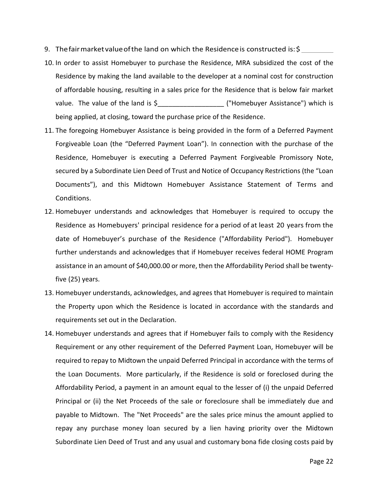- 9. Thefairmarketvalueofthe land on which the Residenceis constructed is: \$
- 10. In order to assist Homebuyer to purchase the Residence, MRA subsidized the cost of the Residence by making the land available to the developer at a nominal cost for construction of affordable housing, resulting in a sales price for the Residence that is below fair market value. The value of the land is \$\_\_\_\_\_\_\_\_\_\_\_\_\_\_\_\_\_\_ ("Homebuyer Assistance") which is being applied, at closing, toward the purchase price of the Residence.
- 11. The foregoing Homebuyer Assistance is being provided in the form of a Deferred Payment Forgiveable Loan (the "Deferred Payment Loan"). In connection with the purchase of the Residence, Homebuyer is executing a Deferred Payment Forgiveable Promissory Note, secured by a Subordinate Lien Deed of Trust and Notice of Occupancy Restrictions (the "Loan Documents"), and this Midtown Homebuyer Assistance Statement of Terms and Conditions.
- 12. Homebuyer understands and acknowledges that Homebuyer is required to occupy the Residence as Homebuyers' principal residence for a period of at least 20 years from the date of Homebuyer's purchase of the Residence ("Affordability Period"). Homebuyer further understands and acknowledges that if Homebuyer receives federal HOME Program assistance in an amount of \$40,000.00 or more, then the Affordability Period shall be twentyfive (25) years.
- 13. Homebuyer understands, acknowledges, and agrees that Homebuyer is required to maintain the Property upon which the Residence is located in accordance with the standards and requirements set out in the Declaration.
- 14. Homebuyer understands and agrees that if Homebuyer fails to comply with the Residency Requirement or any other requirement of the Deferred Payment Loan, Homebuyer will be required to repay to Midtown the unpaid Deferred Principal in accordance with the terms of the Loan Documents. More particularly, if the Residence is sold or foreclosed during the Affordability Period, a payment in an amount equal to the lesser of (i) the unpaid Deferred Principal or (ii) the Net Proceeds of the sale or foreclosure shall be immediately due and payable to Midtown. The "Net Proceeds" are the sales price minus the amount applied to repay any purchase money loan secured by a lien having priority over the Midtown Subordinate Lien Deed of Trust and any usual and customary bona fide closing costs paid by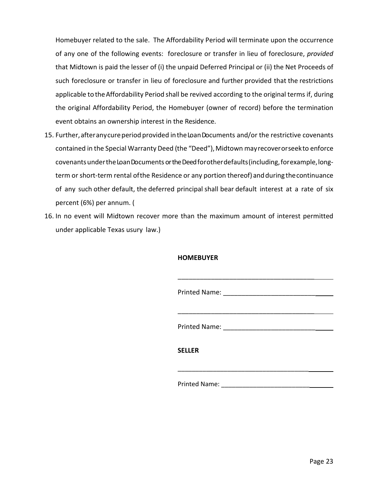Homebuyer related to the sale. The Affordability Period will terminate upon the occurrence of any one of the following events: foreclosure or transfer in lieu of foreclosure, *provided* that Midtown is paid the lesser of (i) the unpaid Deferred Principal or (ii) the Net Proceeds of such foreclosure or transfer in lieu of foreclosure and further provided that the restrictions applicable to the Affordability Period shall be revived according to the original terms if, during the original Affordability Period, the Homebuyer (owner of record) before the termination event obtains an ownership interest in the Residence.

- 15. Further, after any cure period provided in the Loan Documents and/or the restrictive covenants contained in the Special Warranty Deed (the "Deed"), Midtown may recover or seekto enforce covenants under the Loan Documents or the Deed for other defaults (including, for example, longterm or short-term rental ofthe Residence or any portion thereof) andduring thecontinuance of any such other default, the deferred principal shall bear default interest at a rate of six percent (6%) per annum. (
- 16. In no event will Midtown recover more than the maximum amount of interest permitted under applicable Texas usury law.)

#### **HOMEBUYER**

| <b>SELLER</b>        |  |
|----------------------|--|
|                      |  |
| <b>Printed Name:</b> |  |

\_\_\_\_\_\_\_\_\_\_\_\_\_\_\_\_\_\_\_\_\_\_\_\_\_\_\_\_\_\_\_\_\_\_\_\_\_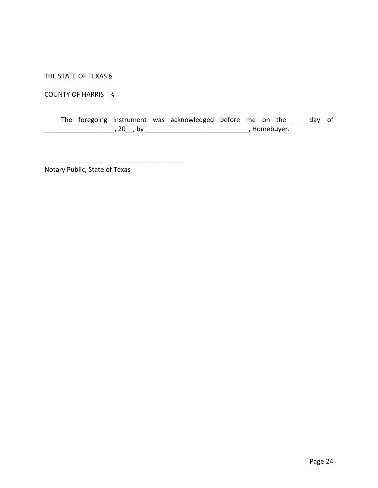THE STATE OF TEXAS §

COUNTY OF HARRIS §

|  |          |  | The foregoing instrument was acknowledged before me on the |              |  | day of |  |
|--|----------|--|------------------------------------------------------------|--------------|--|--------|--|
|  | , 20 ,by |  |                                                            | , Homebuyer. |  |        |  |

Notary Public, State of Texas

\_\_\_\_\_\_\_\_\_\_\_\_\_\_\_\_\_\_\_\_\_\_\_\_\_\_\_\_\_\_\_\_\_\_\_\_\_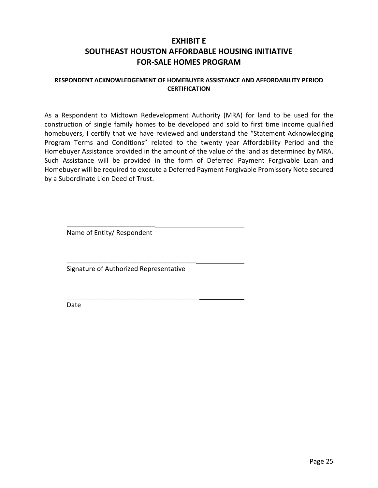### **EXHIBIT E SOUTHEAST HOUSTON AFFORDABLE HOUSING INITIATIVE FOR-SALE HOMES PROGRAM**

#### **RESPONDENT ACKNOWLEDGEMENT OF HOMEBUYER ASSISTANCE AND AFFORDABILITY PERIOD CERTIFICATION**

As a Respondent to Midtown Redevelopment Authority (MRA) for land to be used for the construction of single family homes to be developed and sold to first time income qualified homebuyers, I certify that we have reviewed and understand the "Statement Acknowledging Program Terms and Conditions" related to the twenty year Affordability Period and the Homebuyer Assistance provided in the amount of the value of the land as determined by MRA. Such Assistance will be provided in the form of Deferred Payment Forgivable Loan and Homebuyer will be required to execute a Deferred Payment Forgivable Promissory Note secured by a Subordinate Lien Deed of Trust.

\_\_\_\_\_\_\_\_\_\_\_\_\_\_\_\_\_\_\_\_\_\_\_\_ Name of Entity/ Respondent

Signature of Authorized Representative

\_\_\_\_\_\_\_\_\_\_\_\_\_\_\_\_\_\_\_\_\_\_\_\_\_\_\_\_\_\_\_\_\_\_\_

\_\_\_\_\_\_\_\_\_\_\_\_\_\_\_\_\_\_\_\_\_\_\_\_\_\_\_\_\_\_\_\_\_\_\_\_

Date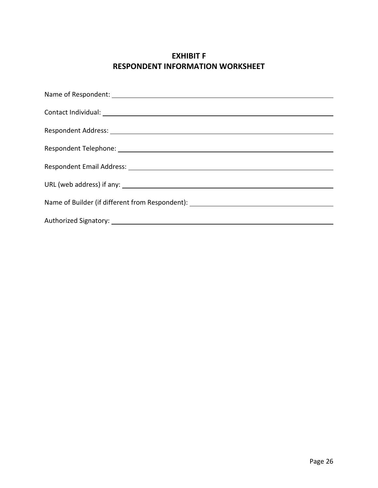### **EXHIBIT F RESPONDENT INFORMATION WORKSHEET**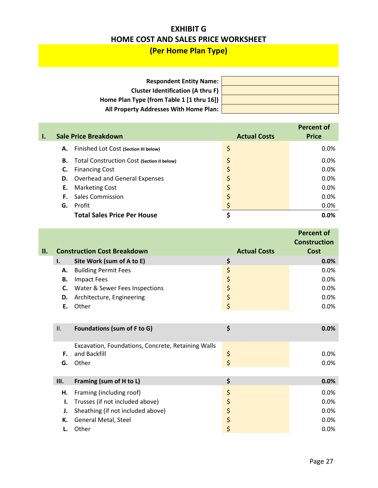### **EXHIBIT G HOME COST AND SALES PRICE WORKSHEET**

## **(Per Home Plan Type)**

| <b>Respondent Entity Name:</b>            |  |
|-------------------------------------------|--|
| <b>Cluster Identification (A thru F)</b>  |  |
| Home Plan Type (from Table 1 [1 thru 16]) |  |
| All Property Addresses With Home Plan:    |  |

|    |                                            |                     | <b>Percent of</b> |
|----|--------------------------------------------|---------------------|-------------------|
|    | <b>Sale Price Breakdown</b>                | <b>Actual Costs</b> | <b>Price</b>      |
| А. | Finished Lot Cost (Section III below)      | \$                  | $0.0\%$           |
| В. | Total Construction Cost (Section II below) |                     | 0.0%              |
| C. | <b>Financing Cost</b>                      |                     | 0.0%              |
|    | <b>D.</b> Overhead and General Expenses    |                     | 0.0%              |
| Е. | <b>Marketing Cost</b>                      |                     | 0.0%              |
|    | <b>F.</b> Sales Commission                 |                     | 0.0%              |
| G. | Profit                                     |                     | 0.0%              |
|    | <b>Total Sales Price Per House</b>         |                     | 0.0%              |

| н. |    | <b>Construction Cost Breakdown</b> | <b>Actual Costs</b> | <b>Percent of</b><br><b>Construction</b><br>Cost |
|----|----|------------------------------------|---------------------|--------------------------------------------------|
|    | Ι. | Site Work (sum of A to E)          | Ş                   | 0.0%                                             |
|    | А. | <b>Building Permit Fees</b>        | \$                  | 0.0%                                             |
|    | В. | Impact Fees                        | Ş                   | 0.0%                                             |
|    | C. | Water & Sewer Fees Inspections     | Ş                   | 0.0%                                             |
|    | D. | Architecture, Engineering          | Ş                   | 0.0%                                             |
|    | Е. | Other                              |                     | 0.0%                                             |
|    |    |                                    |                     |                                                  |

| II.  | Foundations (sum of F to G)                                        | 0.0%       |
|------|--------------------------------------------------------------------|------------|
| F.   | Excavation, Foundations, Concrete, Retaining Walls<br>and Backfill | \$<br>0.0% |
| G.   | Other                                                              | 0.0%       |
|      |                                                                    |            |
| III. | Framing (sum of H to L)                                            | \$<br>0.0% |
| Н.   | Framing (including roof)                                           | \$<br>0.0% |
|      | Trusses (if not included above)                                    | \$<br>0.0% |
|      | Sheathing (if not included above)                                  | \$<br>0.0% |
| К.   | General Metal, Steel                                               | \$<br>0.0% |
|      | Other                                                              | \$<br>0.0% |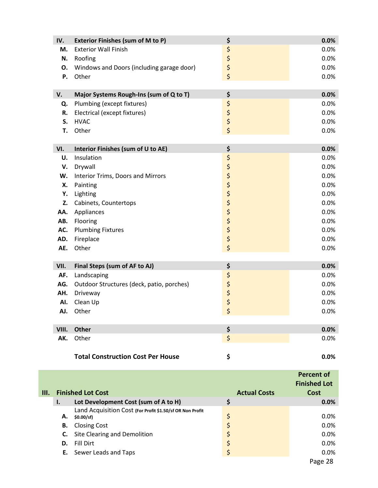| IV.   | <b>Exterior Finishes (sum of M to P)</b>  | \$                      | 0.0% |
|-------|-------------------------------------------|-------------------------|------|
| M.    | <b>Exterior Wall Finish</b>               | \$                      | 0.0% |
| N.    | Roofing                                   | $\frac{1}{2}$           | 0.0% |
| О.    | Windows and Doors (including garage door) |                         | 0.0% |
| Ρ.    | Other                                     | \$                      | 0.0% |
|       |                                           |                         |      |
| V.    | Major Systems Rough-Ins (sum of Q to T)   | \$                      | 0.0% |
| Q.    | Plumbing (except fixtures)                | \$                      | 0.0% |
| R.    | Electrical (except fixtures)              | \$                      | 0.0% |
| S.    | <b>HVAC</b>                               | \$                      | 0.0% |
| T.    | Other                                     | \$                      | 0.0% |
|       |                                           |                         |      |
| VI.   | Interior Finishes (sum of U to AE)        | \$                      | 0.0% |
| U.    | Insulation                                | さささささささ                 | 0.0% |
| V.    | Drywall                                   |                         | 0.0% |
| W.    | <b>Interior Trims, Doors and Mirrors</b>  |                         | 0.0% |
| Х.    | Painting                                  |                         | 0.0% |
| Υ.    | Lighting                                  |                         | 0.0% |
| Z.    | Cabinets, Countertops                     |                         | 0.0% |
| AA.   | Appliances                                |                         | 0.0% |
| AB.   | Flooring                                  |                         | 0.0% |
| AC.   | <b>Plumbing Fixtures</b>                  |                         | 0.0% |
| AD.   | Fireplace                                 |                         | 0.0% |
| AE.   | Other                                     | $\overline{\mathsf{S}}$ | 0.0% |
|       |                                           |                         |      |
| VII.  | Final Steps (sum of AF to AJ)             | \$                      | 0.0% |
| AF.   | Landscaping                               | \$                      | 0.0% |
| AG.   | Outdoor Structures (deck, patio, porches) | 55                      | 0.0% |
| AH.   | Driveway                                  |                         | 0.0% |
| AI.   | Clean Up                                  |                         | 0.0% |
| AJ.   | Other                                     | \$                      | 0.0% |
|       |                                           |                         |      |
| VIII. | Other                                     | \$                      | 0.0% |
| AK.   | Other                                     | \$                      | 0.0% |
|       |                                           |                         |      |
|       | <b>Total Construction Cost Per House</b>  | \$                      | 0.0% |

| III. |    | <b>Finished Lot Cost</b>                                                 | <b>Actual Costs</b> | <b>Percent of</b><br><b>Finished Lot</b><br>Cost |
|------|----|--------------------------------------------------------------------------|---------------------|--------------------------------------------------|
|      | Ι. | Lot Development Cost (sum of A to H)                                     | \$                  | 0.0%                                             |
|      | А. | Land Acquisition Cost (For Profit \$1.50/sf OR Non Profit<br>\$0.00/sf\$ | \$                  | $0.0\%$                                          |
|      | В. | <b>Closing Cost</b>                                                      | \$                  | $0.0\%$                                          |
|      | C. | Site Clearing and Demolition                                             | \$                  | $0.0\%$                                          |
|      | D. | Fill Dirt                                                                | \$                  | $0.0\%$                                          |
|      |    | <b>E.</b> Sewer Leads and Taps                                           | \$                  | $0.0\%$                                          |
|      |    |                                                                          |                     | Page 28                                          |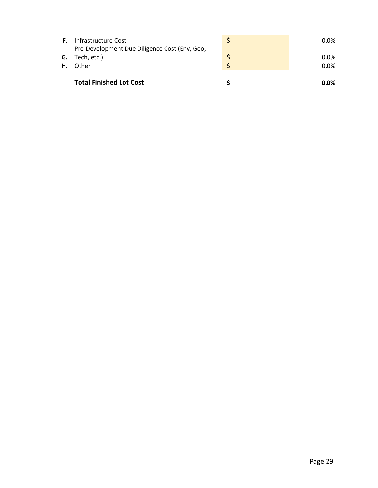|    | <b>Total Finished Lot Cost</b>                                       | $0.0\%$ |
|----|----------------------------------------------------------------------|---------|
| Н. | Other                                                                | $0.0\%$ |
|    | <b>G.</b> Tech, etc.)                                                | $0.0\%$ |
| F. | Infrastructure Cost<br>Pre-Development Due Diligence Cost (Env, Geo, | $0.0\%$ |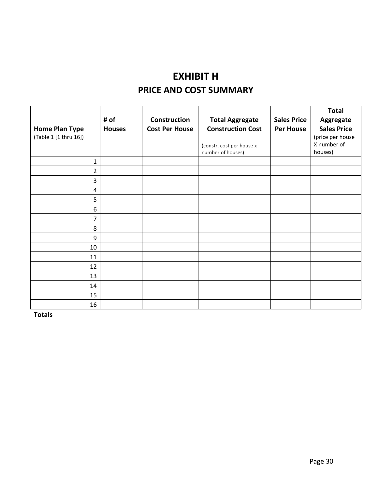# **EXHIBIT H PRICE AND COST SUMMARY**

|                       |               |                       |                           |                    | <b>Total</b>       |
|-----------------------|---------------|-----------------------|---------------------------|--------------------|--------------------|
|                       | # of          | <b>Construction</b>   | <b>Total Aggregate</b>    | <b>Sales Price</b> | Aggregate          |
| <b>Home Plan Type</b> | <b>Houses</b> | <b>Cost Per House</b> | <b>Construction Cost</b>  | <b>Per House</b>   | <b>Sales Price</b> |
| (Table 1 [1 thru 16]) |               |                       |                           |                    | (price per house   |
|                       |               |                       | (constr. cost per house x |                    | X number of        |
|                       |               |                       | number of houses)         |                    | houses)            |
| $\mathbf{1}$          |               |                       |                           |                    |                    |
| $\overline{2}$        |               |                       |                           |                    |                    |
| 3                     |               |                       |                           |                    |                    |
| 4                     |               |                       |                           |                    |                    |
| 5                     |               |                       |                           |                    |                    |
| $\boldsymbol{6}$      |               |                       |                           |                    |                    |
| 7                     |               |                       |                           |                    |                    |
| 8                     |               |                       |                           |                    |                    |
| 9                     |               |                       |                           |                    |                    |
| 10                    |               |                       |                           |                    |                    |
| 11                    |               |                       |                           |                    |                    |
| 12                    |               |                       |                           |                    |                    |
| 13                    |               |                       |                           |                    |                    |
| 14                    |               |                       |                           |                    |                    |
| 15                    |               |                       |                           |                    |                    |
| 16                    |               |                       |                           |                    |                    |

**Totals**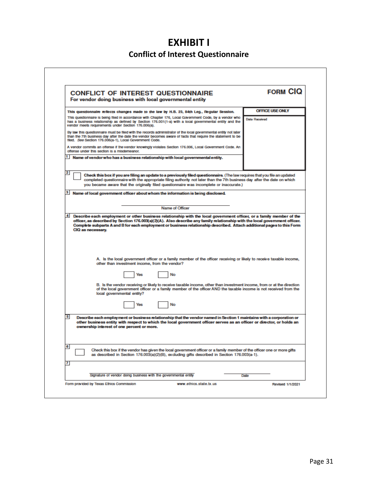## **EXHIBIT I Conflict of Interest Questionnaire**

 $\Gamma$ 

| <b>CONFLICT OF INTEREST QUESTIONNAIRE</b>                                                                                                                                                                                                                                                                                                                                                            | <b>FORM CIQ</b>        |
|------------------------------------------------------------------------------------------------------------------------------------------------------------------------------------------------------------------------------------------------------------------------------------------------------------------------------------------------------------------------------------------------------|------------------------|
| For vendor doing business with local governmental entity                                                                                                                                                                                                                                                                                                                                             |                        |
| This questionnaire reflects changes made to the law by H.B. 23, 84th Leg., Regular Session.                                                                                                                                                                                                                                                                                                          | <b>OFFICE USE ONLY</b> |
| This questionnaire is being filed in accordance with Chapter 176, Local Government Code, by a vendor who<br>has a business relationship as defined by Section 176.001(1-a) with a local governmental entity and the<br>vendor meets requirements under Section 176.006(a).                                                                                                                           | <b>Date Received</b>   |
| By law this questionnaire must be filed with the records administrator of the local governmental entity not later<br>than the 7th business day after the date the vendor becomes aware of facts that require the statement to be<br>filed. See Section 176.006(a-1), Local Government Code.                                                                                                          |                        |
| A vendor commits an offense if the vendor knowingly violates Section 176.006, Local Government Code. An<br>offense under this section is a misdemeanor.                                                                                                                                                                                                                                              |                        |
| 1  <br>Name of vendor who has a business relationship with local governmental entity.                                                                                                                                                                                                                                                                                                                |                        |
| 2<br>Check this box if you are filing an update to a previously filed questionnaire. (The law requires that you file an updated                                                                                                                                                                                                                                                                      |                        |
| completed questionnaire with the appropriate filing authority not later than the 7th business day after the date on which<br>you became aware that the originally filed questionnaire was incomplete or inaccurate.)                                                                                                                                                                                 |                        |
|                                                                                                                                                                                                                                                                                                                                                                                                      |                        |
| 3 Name of local government officer about whom the information is being disclosed.                                                                                                                                                                                                                                                                                                                    |                        |
| Name of Officer                                                                                                                                                                                                                                                                                                                                                                                      |                        |
| 4 Describe each employment or other business relationship with the local government officer, or a family member of the<br>officer, as described by Section 176.003(a)(2)(A). Also describe any family relationship with the local government officer.<br>Complete subparts A and B for each employment or business relationship described. Attach additional pages to this Form<br>CIQ as necessary. |                        |
| A. Is the local government officer or a family member of the officer receiving or likely to receive taxable income,<br>other than investment income, from the vendor?                                                                                                                                                                                                                                |                        |
| No<br>Yes                                                                                                                                                                                                                                                                                                                                                                                            |                        |
| B. Is the vendor receiving or likely to receive taxable income, other than investment income, from or at the direction<br>of the local government officer or a family member of the officer AND the taxable income is not received from the<br>local governmental entity?                                                                                                                            |                        |
| Yes<br>No                                                                                                                                                                                                                                                                                                                                                                                            |                        |
| 5<br>Describe each employment or business relationship that the vendor named in Section 1 maintains with a corporation or<br>other business entity with respect to which the local government officer serves as an officer or director, or holds an<br>ownership interest of one percent or more.                                                                                                    |                        |
| 6                                                                                                                                                                                                                                                                                                                                                                                                    |                        |
| Check this box if the vendor has given the local government officer or a family member of the officer one or more gifts<br>as described in Section 176.003(a)(2)(B), excluding gifts described in Section 176.003(a-1).                                                                                                                                                                              |                        |
| 7                                                                                                                                                                                                                                                                                                                                                                                                    |                        |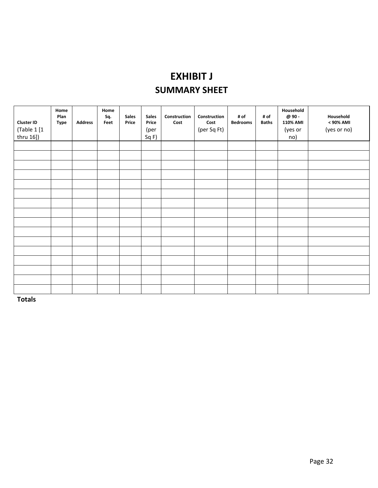# **EXHIBIT J SUMMARY SHEET**

| <b>Cluster ID</b><br>(Table 1 [1<br>thru 16]) | Home<br>Plan<br><b>Type</b> | <b>Address</b> | Home<br>Sq.<br>Feet | <b>Sales</b><br>Price | <b>Sales</b><br>Price<br>(per<br>Sq F) | Construction<br>Cost | Construction<br>Cost<br>(per Sq Ft) | # of<br><b>Bedrooms</b> | # of<br><b>Baths</b> | Household<br>@ 90 -<br>110% AMI<br>(yes or<br>no) | Household<br>< 90% AMI<br>(yes or no) |
|-----------------------------------------------|-----------------------------|----------------|---------------------|-----------------------|----------------------------------------|----------------------|-------------------------------------|-------------------------|----------------------|---------------------------------------------------|---------------------------------------|
|                                               |                             |                |                     |                       |                                        |                      |                                     |                         |                      |                                                   |                                       |
|                                               |                             |                |                     |                       |                                        |                      |                                     |                         |                      |                                                   |                                       |
|                                               |                             |                |                     |                       |                                        |                      |                                     |                         |                      |                                                   |                                       |
|                                               |                             |                |                     |                       |                                        |                      |                                     |                         |                      |                                                   |                                       |
|                                               |                             |                |                     |                       |                                        |                      |                                     |                         |                      |                                                   |                                       |
|                                               |                             |                |                     |                       |                                        |                      |                                     |                         |                      |                                                   |                                       |
|                                               |                             |                |                     |                       |                                        |                      |                                     |                         |                      |                                                   |                                       |
|                                               |                             |                |                     |                       |                                        |                      |                                     |                         |                      |                                                   |                                       |
|                                               |                             |                |                     |                       |                                        |                      |                                     |                         |                      |                                                   |                                       |
|                                               |                             |                |                     |                       |                                        |                      |                                     |                         |                      |                                                   |                                       |
|                                               |                             |                |                     |                       |                                        |                      |                                     |                         |                      |                                                   |                                       |
|                                               |                             |                |                     |                       |                                        |                      |                                     |                         |                      |                                                   |                                       |
|                                               |                             |                |                     |                       |                                        |                      |                                     |                         |                      |                                                   |                                       |
|                                               |                             |                |                     |                       |                                        |                      |                                     |                         |                      |                                                   |                                       |
|                                               |                             |                |                     |                       |                                        |                      |                                     |                         |                      |                                                   |                                       |
|                                               |                             |                |                     |                       |                                        |                      |                                     |                         |                      |                                                   |                                       |

**Totals**